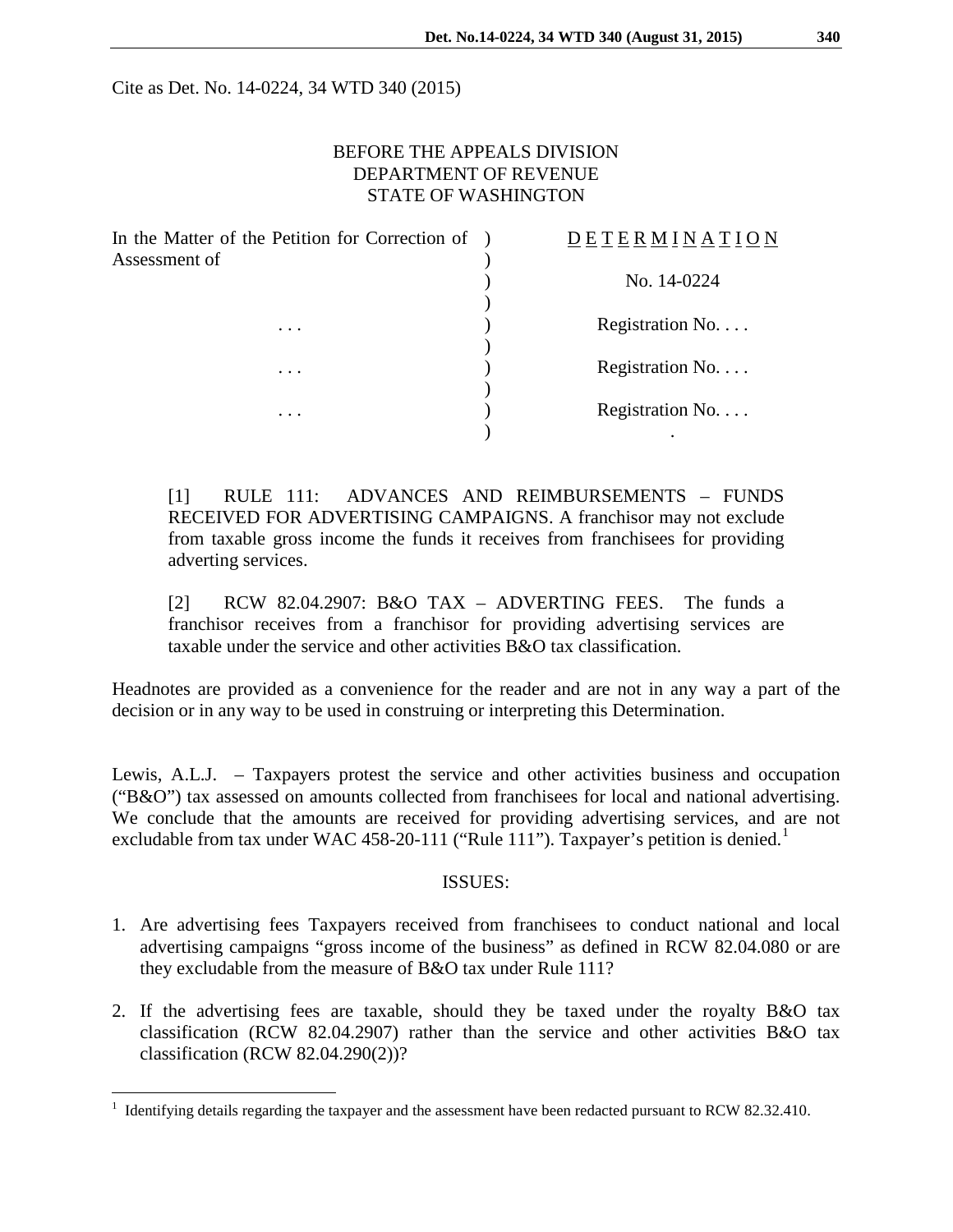Cite as Det. No. 14-0224, 34 WTD 340 (2015)

### BEFORE THE APPEALS DIVISION DEPARTMENT OF REVENUE STATE OF WASHINGTON

| In the Matter of the Petition for Correction of )<br>Assessment of | <u>DETERMINATION</u>  |
|--------------------------------------------------------------------|-----------------------|
|                                                                    | No. 14-0224           |
| $\cdots$                                                           | Registration No.      |
| $\cdots$                                                           | Registration No.      |
| $\cdots$                                                           | Registration No.<br>٠ |

[1] RULE 111: ADVANCES AND REIMBURSEMENTS – FUNDS RECEIVED FOR ADVERTISING CAMPAIGNS. A franchisor may not exclude from taxable gross income the funds it receives from franchisees for providing adverting services.

[2] RCW 82.04.2907: B&O TAX – ADVERTING FEES. The funds a franchisor receives from a franchisor for providing advertising services are taxable under the service and other activities B&O tax classification.

Headnotes are provided as a convenience for the reader and are not in any way a part of the decision or in any way to be used in construing or interpreting this Determination.

Lewis, A.L.J. – Taxpayers protest the service and other activities business and occupation ("B&O") tax assessed on amounts collected from franchisees for local and national advertising. We conclude that the amounts are received for providing advertising services, and are not excludable from tax under WAC 458-20-[1](#page-0-0)11 ("Rule 111"). Taxpayer's petition is denied.<sup>1</sup>

#### ISSUES:

- 1. Are advertising fees Taxpayers received from franchisees to conduct national and local advertising campaigns "gross income of the business" as defined in RCW 82.04.080 or are they excludable from the measure of B&O tax under Rule 111?
- 2. If the advertising fees are taxable, should they be taxed under the royalty B&O tax classification (RCW 82.04.2907) rather than the service and other activities B&O tax classification (RCW 82.04.290(2))?

<span id="page-0-0"></span> <sup>1</sup> Identifying details regarding the taxpayer and the assessment have been redacted pursuant to RCW 82.32.410.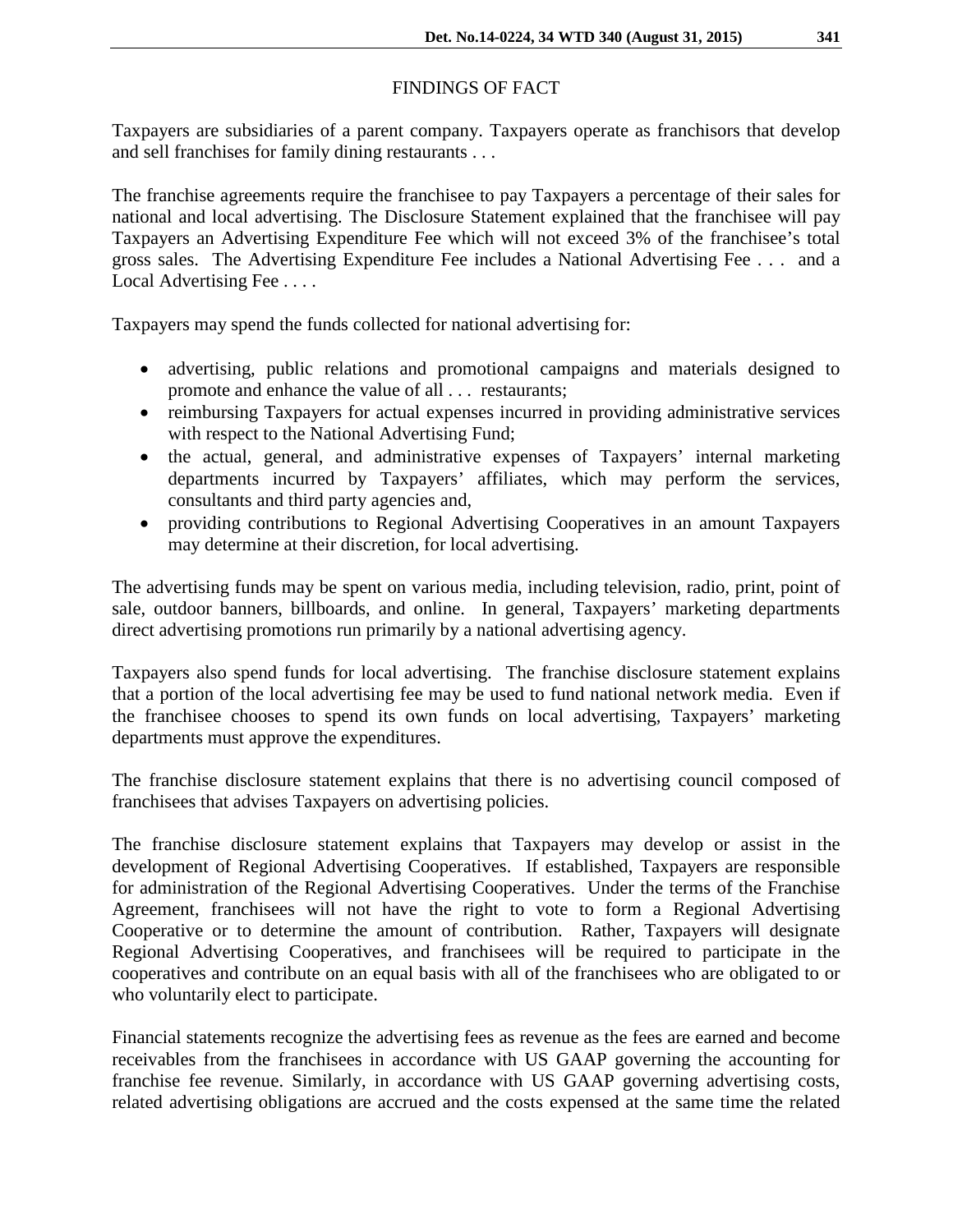# FINDINGS OF FACT

Taxpayers are subsidiaries of a parent company. Taxpayers operate as franchisors that develop and sell franchises for family dining restaurants . . .

The franchise agreements require the franchisee to pay Taxpayers a percentage of their sales for national and local advertising. The Disclosure Statement explained that the franchisee will pay Taxpayers an Advertising Expenditure Fee which will not exceed 3% of the franchisee's total gross sales. The Advertising Expenditure Fee includes a National Advertising Fee . . . and a Local Advertising Fee . . . .

Taxpayers may spend the funds collected for national advertising for:

- advertising, public relations and promotional campaigns and materials designed to promote and enhance the value of all . . . restaurants;
- reimbursing Taxpayers for actual expenses incurred in providing administrative services with respect to the National Advertising Fund;
- the actual, general, and administrative expenses of Taxpayers' internal marketing departments incurred by Taxpayers' affiliates, which may perform the services, consultants and third party agencies and,
- providing contributions to Regional Advertising Cooperatives in an amount Taxpayers may determine at their discretion, for local advertising.

The advertising funds may be spent on various media, including television, radio, print, point of sale, outdoor banners, billboards, and online. In general, Taxpayers' marketing departments direct advertising promotions run primarily by a national advertising agency.

Taxpayers also spend funds for local advertising. The franchise disclosure statement explains that a portion of the local advertising fee may be used to fund national network media. Even if the franchisee chooses to spend its own funds on local advertising, Taxpayers' marketing departments must approve the expenditures.

The franchise disclosure statement explains that there is no advertising council composed of franchisees that advises Taxpayers on advertising policies.

The franchise disclosure statement explains that Taxpayers may develop or assist in the development of Regional Advertising Cooperatives. If established, Taxpayers are responsible for administration of the Regional Advertising Cooperatives. Under the terms of the Franchise Agreement, franchisees will not have the right to vote to form a Regional Advertising Cooperative or to determine the amount of contribution. Rather, Taxpayers will designate Regional Advertising Cooperatives, and franchisees will be required to participate in the cooperatives and contribute on an equal basis with all of the franchisees who are obligated to or who voluntarily elect to participate.

Financial statements recognize the advertising fees as revenue as the fees are earned and become receivables from the franchisees in accordance with US GAAP governing the accounting for franchise fee revenue. Similarly, in accordance with US GAAP governing advertising costs, related advertising obligations are accrued and the costs expensed at the same time the related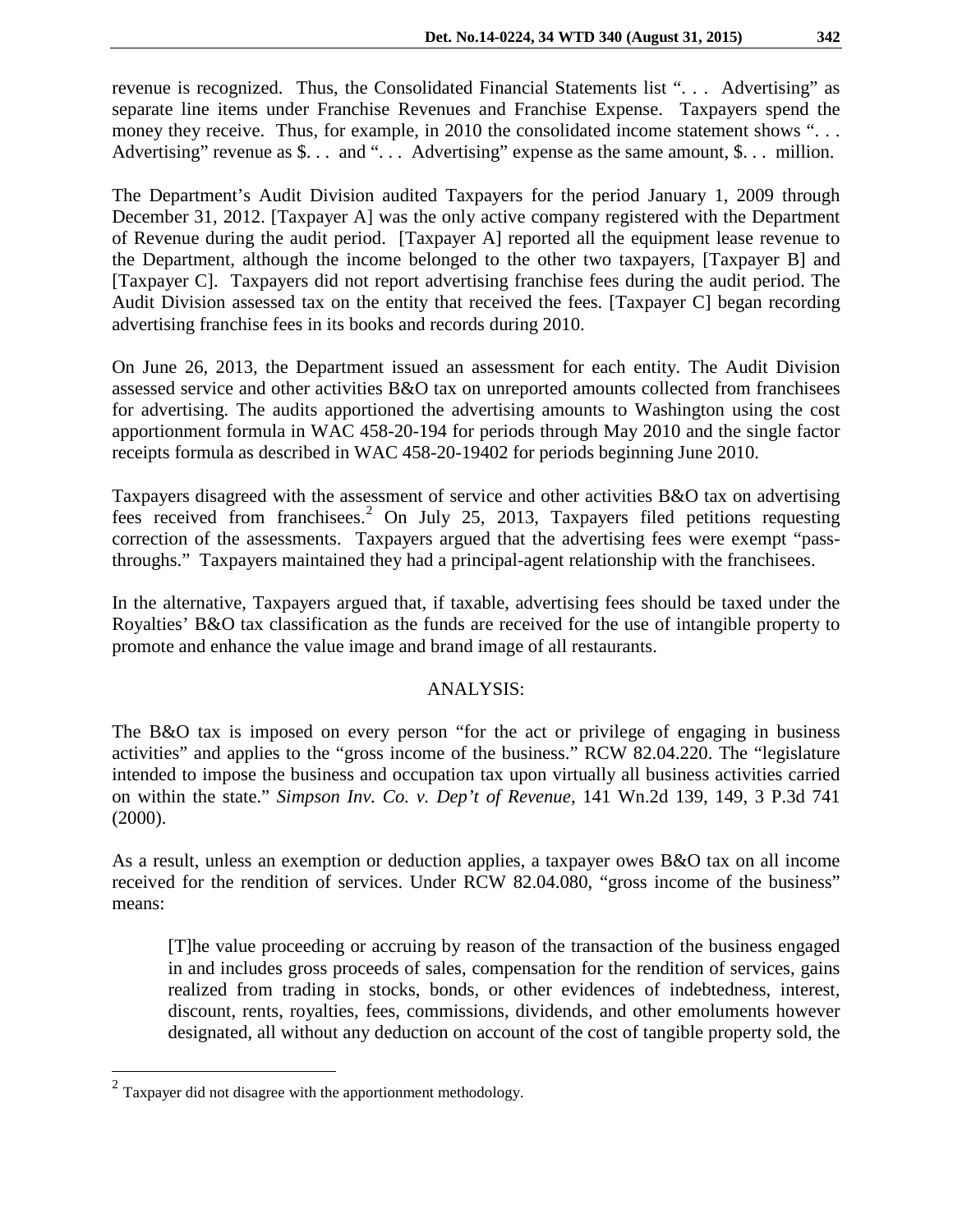revenue is recognized. Thus, the Consolidated Financial Statements list ". . . Advertising" as separate line items under Franchise Revenues and Franchise Expense. Taxpayers spend the money they receive. Thus, for example, in 2010 the consolidated income statement shows "... Advertising" revenue as \$... and "... Advertising" expense as the same amount, \$... million.

The Department's Audit Division audited Taxpayers for the period January 1, 2009 through December 31, 2012. [Taxpayer A] was the only active company registered with the Department of Revenue during the audit period. [Taxpayer A] reported all the equipment lease revenue to the Department, although the income belonged to the other two taxpayers, [Taxpayer B] and [Taxpayer C]. Taxpayers did not report advertising franchise fees during the audit period. The Audit Division assessed tax on the entity that received the fees. [Taxpayer C] began recording advertising franchise fees in its books and records during 2010.

On June 26, 2013, the Department issued an assessment for each entity. The Audit Division assessed service and other activities B&O tax on unreported amounts collected from franchisees for advertising. The audits apportioned the advertising amounts to Washington using the cost apportionment formula in WAC 458-20-194 for periods through May 2010 and the single factor receipts formula as described in WAC 458-20-19402 for periods beginning June 2010.

Taxpayers disagreed with the assessment of service and other activities B&O tax on advertising fees received from franchisees.<sup>[2](#page-2-0)</sup> On July 25, 2013, Taxpayers filed petitions requesting correction of the assessments. Taxpayers argued that the advertising fees were exempt "passthroughs." Taxpayers maintained they had a principal-agent relationship with the franchisees.

In the alternative, Taxpayers argued that, if taxable, advertising fees should be taxed under the Royalties' B&O tax classification as the funds are received for the use of intangible property to promote and enhance the value image and brand image of all restaurants.

#### ANALYSIS:

The B&O tax is imposed on every person "for the act or privilege of engaging in business activities" and applies to the "gross income of the business." RCW 82.04.220. The "legislature intended to impose the business and occupation tax upon virtually all business activities carried on within the state." *Simpson Inv. Co. v. Dep't of Revenue*, 141 Wn.2d 139, 149, 3 P.3d 741 (2000).

As a result, unless an exemption or deduction applies, a taxpayer owes B&O tax on all income received for the rendition of services. Under RCW 82.04.080, "gross income of the business" means:

[T]he value proceeding or accruing by reason of the transaction of the business engaged in and includes gross proceeds of sales, compensation for the rendition of services, gains realized from trading in stocks, bonds, or other evidences of indebtedness, interest, discount, rents, royalties, fees, commissions, dividends, and other emoluments however designated, all without any deduction on account of the cost of tangible property sold, the

<span id="page-2-0"></span> $2$  Taxpayer did not disagree with the apportionment methodology.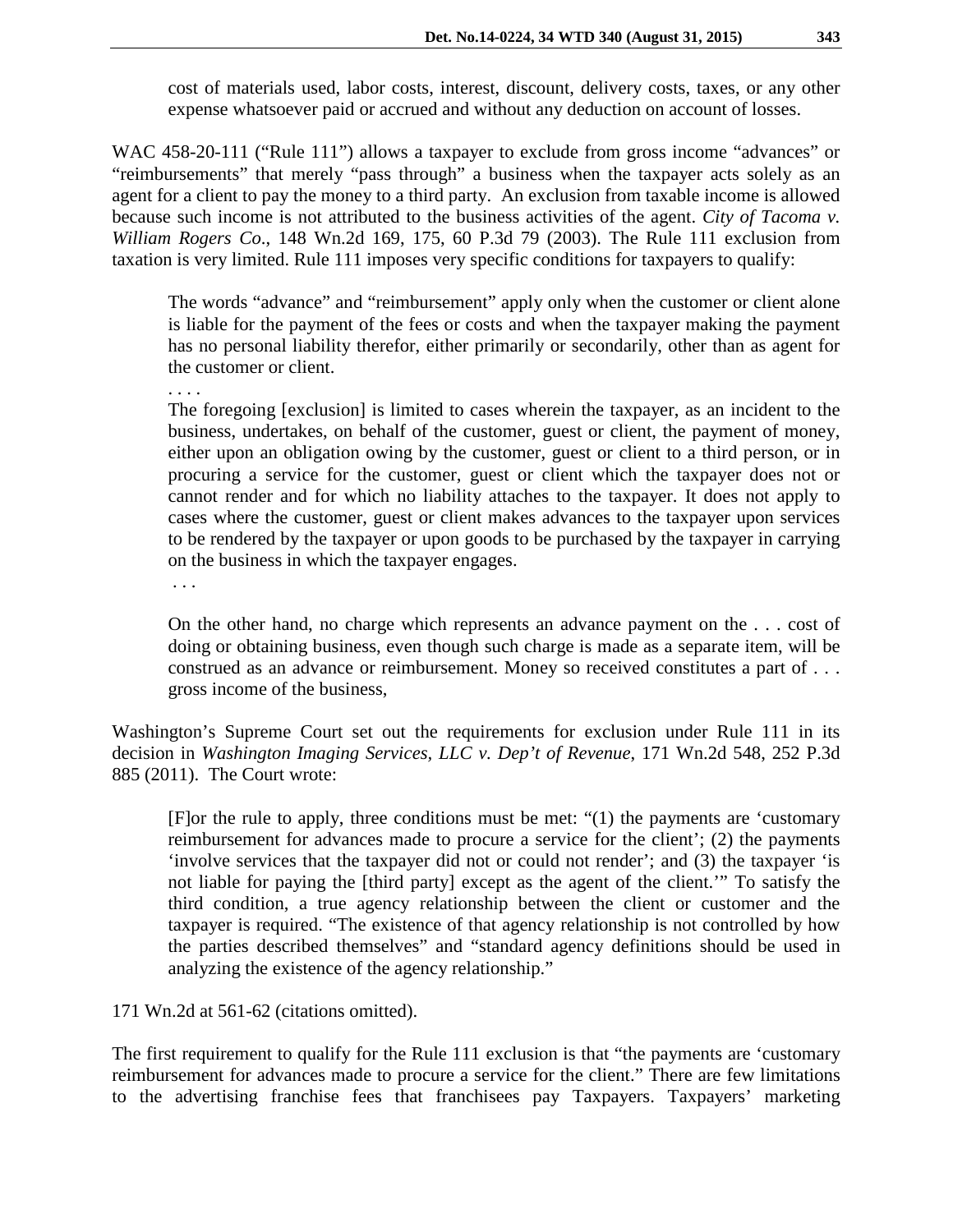cost of materials used, labor costs, interest, discount, delivery costs, taxes, or any other expense whatsoever paid or accrued and without any deduction on account of losses.

WAC 458-20-111 ("Rule 111") allows a taxpayer to exclude from gross income "advances" or "reimbursements" that merely "pass through" a business when the taxpayer acts solely as an agent for a client to pay the money to a third party. An exclusion from taxable income is allowed because such income is not attributed to the business activities of the agent. *City of Tacoma v. William Rogers Co*., 148 Wn.2d 169, 175, 60 P.3d 79 (2003). The Rule 111 exclusion from taxation is very limited. Rule 111 imposes very specific conditions for taxpayers to qualify:

The words "advance" and "reimbursement" apply only when the customer or client alone is liable for the payment of the fees or costs and when the taxpayer making the payment has no personal liability therefor, either primarily or secondarily, other than as agent for the customer or client.

. . . .

The foregoing [exclusion] is limited to cases wherein the taxpayer, as an incident to the business, undertakes, on behalf of the customer, guest or client, the payment of money, either upon an obligation owing by the customer, guest or client to a third person, or in procuring a service for the customer, guest or client which the taxpayer does not or cannot render and for which no liability attaches to the taxpayer. It does not apply to cases where the customer, guest or client makes advances to the taxpayer upon services to be rendered by the taxpayer or upon goods to be purchased by the taxpayer in carrying on the business in which the taxpayer engages.

. . .

On the other hand, no charge which represents an advance payment on the . . . cost of doing or obtaining business, even though such charge is made as a separate item, will be construed as an advance or reimbursement. Money so received constitutes a part of . . . gross income of the business,

Washington's Supreme Court set out the requirements for exclusion under Rule 111 in its decision in *Washington Imaging Services, LLC v. Dep't of Revenue*, 171 Wn.2d 548, 252 P.3d 885 (2011). The Court wrote:

[F]or the rule to apply, three conditions must be met: "(1) the payments are 'customary reimbursement for advances made to procure a service for the client'; (2) the payments 'involve services that the taxpayer did not or could not render'; and (3) the taxpayer 'is not liable for paying the [third party] except as the agent of the client.'" To satisfy the third condition, a true agency relationship between the client or customer and the taxpayer is required. "The existence of that agency relationship is not controlled by how the parties described themselves" and "standard agency definitions should be used in analyzing the existence of the agency relationship."

171 Wn.2d at 561-62 (citations omitted).

The first requirement to qualify for the Rule 111 exclusion is that "the payments are 'customary reimbursement for advances made to procure a service for the client." There are few limitations to the advertising franchise fees that franchisees pay Taxpayers. Taxpayers' marketing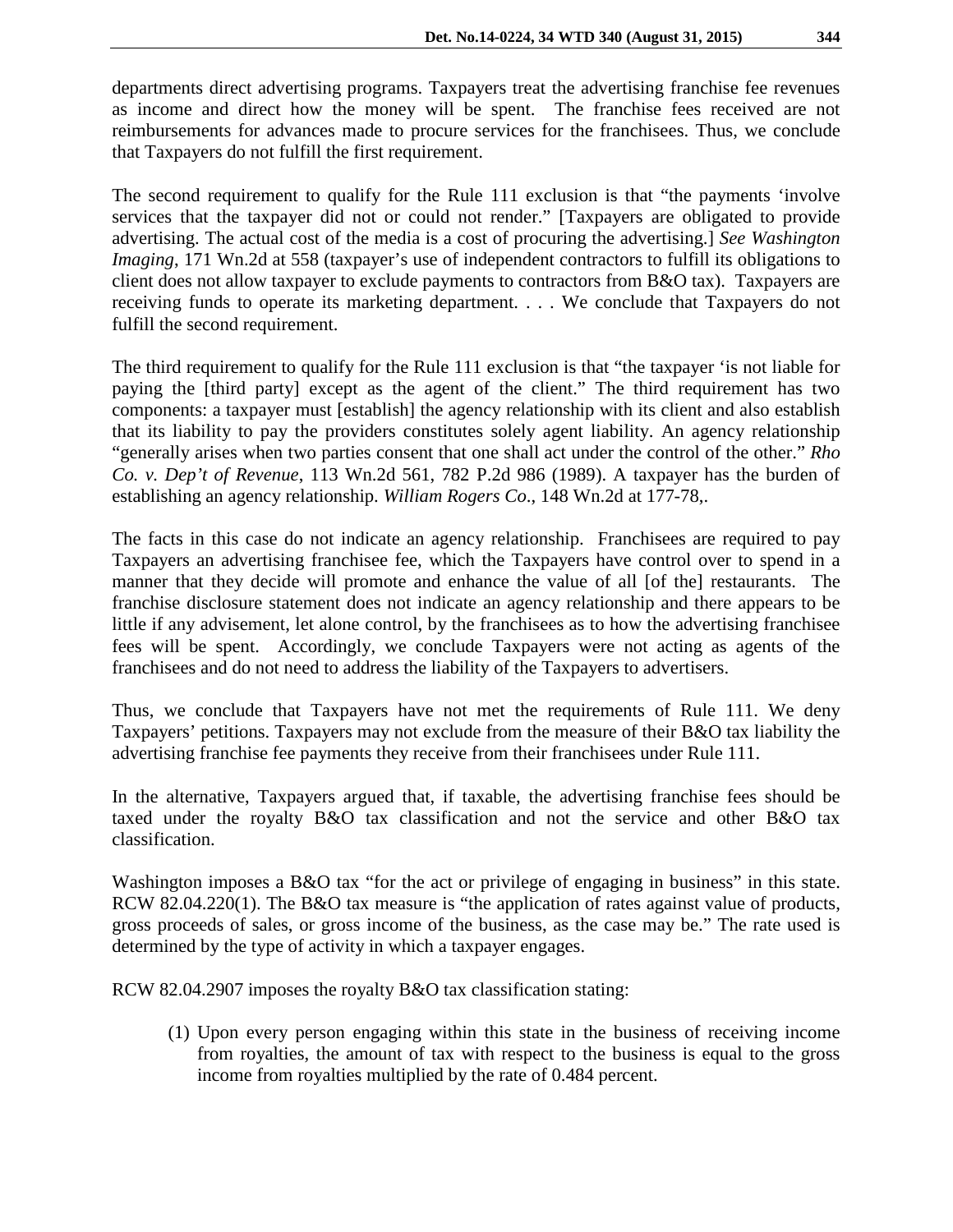departments direct advertising programs. Taxpayers treat the advertising franchise fee revenues as income and direct how the money will be spent. The franchise fees received are not reimbursements for advances made to procure services for the franchisees. Thus, we conclude that Taxpayers do not fulfill the first requirement.

The second requirement to qualify for the Rule 111 exclusion is that "the payments 'involve services that the taxpayer did not or could not render." [Taxpayers are obligated to provide advertising. The actual cost of the media is a cost of procuring the advertising.] *See Washington Imaging*, 171 Wn.2d at 558 (taxpayer's use of independent contractors to fulfill its obligations to client does not allow taxpayer to exclude payments to contractors from B&O tax). Taxpayers are receiving funds to operate its marketing department. . . . We conclude that Taxpayers do not fulfill the second requirement.

The third requirement to qualify for the Rule 111 exclusion is that "the taxpayer 'is not liable for paying the [third party] except as the agent of the client." The third requirement has two components: a taxpayer must [establish] the agency relationship with its client and also establish that its liability to pay the providers constitutes solely agent liability. An agency relationship "generally arises when two parties consent that one shall act under the control of the other." *Rho Co. v. Dep't of Revenue*, 113 Wn.2d 561, 782 P.2d 986 (1989). A taxpayer has the burden of establishing an agency relationship. *William Rogers Co*., 148 Wn.2d at 177-78,.

The facts in this case do not indicate an agency relationship. Franchisees are required to pay Taxpayers an advertising franchisee fee, which the Taxpayers have control over to spend in a manner that they decide will promote and enhance the value of all [of the] restaurants. The franchise disclosure statement does not indicate an agency relationship and there appears to be little if any advisement, let alone control, by the franchisees as to how the advertising franchisee fees will be spent. Accordingly, we conclude Taxpayers were not acting as agents of the franchisees and do not need to address the liability of the Taxpayers to advertisers.

Thus, we conclude that Taxpayers have not met the requirements of Rule 111. We deny Taxpayers' petitions. Taxpayers may not exclude from the measure of their B&O tax liability the advertising franchise fee payments they receive from their franchisees under Rule 111.

In the alternative, Taxpayers argued that, if taxable, the advertising franchise fees should be taxed under the royalty B&O tax classification and not the service and other B&O tax classification.

Washington imposes a B&O tax "for the act or privilege of engaging in business" in this state. RCW 82.04.220(1). The B&O tax measure is "the application of rates against value of products, gross proceeds of sales, or gross income of the business, as the case may be." The rate used is determined by the type of activity in which a taxpayer engages.

RCW 82.04.2907 imposes the royalty B&O tax classification stating:

(1) Upon every person engaging within this state in the business of receiving income from royalties, the amount of tax with respect to the business is equal to the gross income from royalties multiplied by the rate of 0.484 percent.